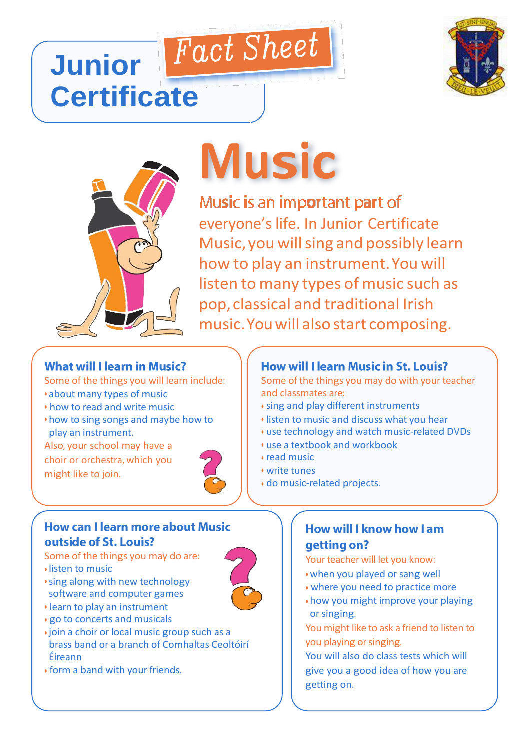### Fact Sheet **Junior Certificate**





# **Music**

Music is an important part of everyone's life. In Junior Certificate Music, you will sing and possibly learn how to play an instrument.You will listen to many types of music such as pop, classical and traditional Irish music.Youwill alsostart composing.

#### **What will I learn in Music?**

Some of the things you will learn include:

- about many types of music
- how to read and write music
- how to sing songs and maybe how to play an instrument.

Also, your school may have a choir or orchestra, which you might like to join.



## **How can I learn more about Music**

#### outside of St. Louis?

Some of the things you may do are:

- listen to music
- sing along with new technology software and computer games
- learn to play an instrument
- go to concerts and musicals
- join a choir or local music group such as a brass band or a branch of Comhaltas Ceoltóirí Éireann
- form a band with your friends.

#### **How will I learn Music in St. Louis?**

Some of the things you may do with your teacher and classmates are:

- sing and play different instruments
- listen to music and discuss what you hear
- use technology and watch music-related DVDs
- use a textbook and workbook
- read music
- write tunes
- do music-related projects.

#### **How will I know how I am** getting on?

- Your teacher will let you know:
- when you played or sang well
- where you need to practice more
- how you might improve your playing or singing.
- You might like to ask a friend to listen to you playing or singing.

You will also do class tests which will give you a good idea of how you are getting on.